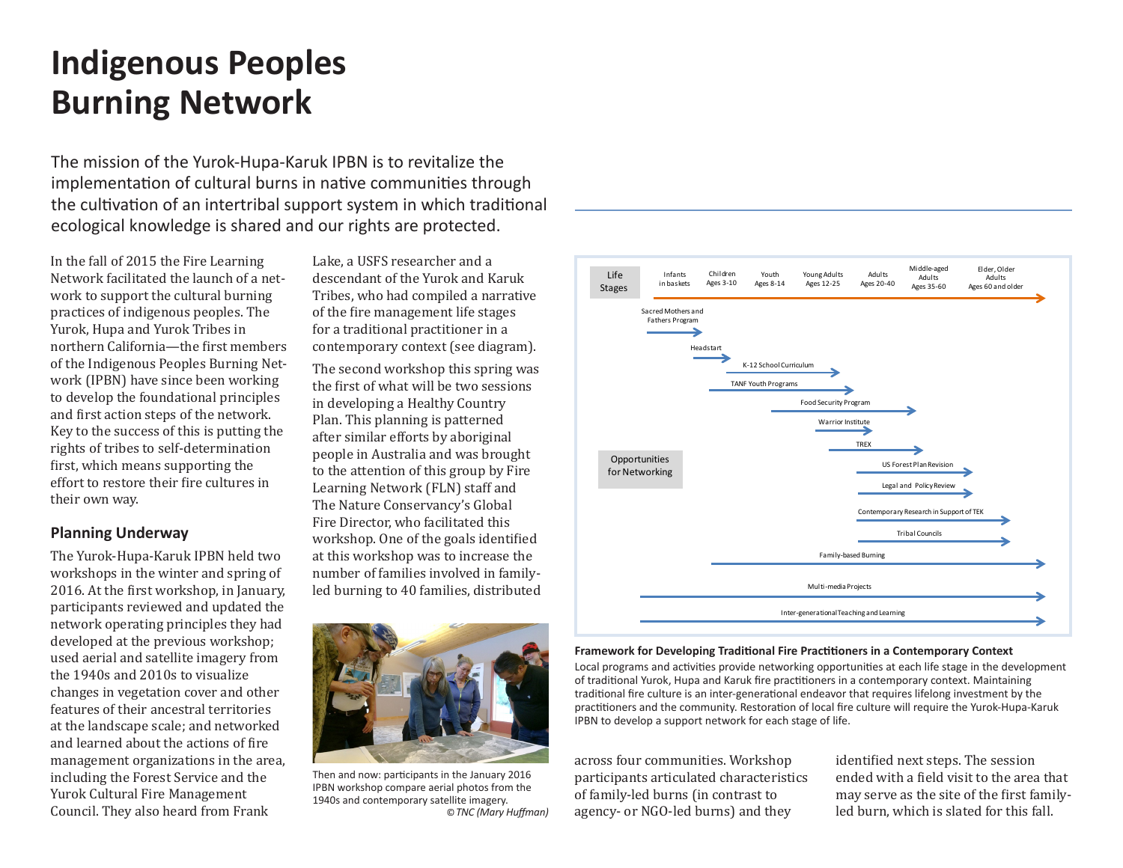## **Indigenous Peoples Burning Network**

The mission of the Yurok-Hupa-Karuk IPBN is to revitalize the implementation of cultural burns in native communities through the cultivation of an intertribal support system in which traditional ecological knowledge is shared and our rights are protected.

In the fall of 2015 the Fire Learning Network facilitated the launch of a network to support the cultural burning practices of indigenous peoples. The Yurok, Hupa and Yurok Tribes in northern California—the first members of the Indigenous Peoples Burning Network (IPBN) have since been working to develop the foundational principles and first action steps of the network. Key to the success of this is putting the rights of tribes to self-determination first, which means supporting the effort to restore their fire cultures in their own way.

### **Planning Underway**

The Yurok-Hupa-Karuk IPBN held two workshops in the winter and spring of 2016. At the first workshop, in January, participants reviewed and updated the network operating principles they had developed at the previous workshop; used aerial and satellite imagery from the 1940s and 2010s to visualize changes in vegetation cover and other features of their ancestral territories at the landscape scale; and networked and learned about the actions of fire management organizations in the area, including the Forest Service and the Yurok Cultural Fire Management Council. They also heard from Frank

Lake, a USFS researcher and a descendant of the Yurok and Karuk Tribes, who had compiled a narrative of the fire management life stages for a traditional practitioner in a contemporary context (see diagram).

The second workshop this spring was the first of what will be two sessions in developing a Healthy Country Plan. This planning is patterned after similar efforts by aboriginal people in Australia and was brought to the attention of this group by Fire Learning Network (FLN) staff and The Nature Conservancy's Global Fire Director, who facilitated this workshop. One of the goals identified at this workshop was to increase the number of families involved in familyled burning to 40 families, distributed



Then and now: participants in the January 2016 IPBN workshop compare aerial photos from the 1940s and contemporary satellite imagery. ©*TNC (Mary Huffman)* 



#### **Framework for Developing Traditional Fire Practitioners in a Contemporary Context**

Local programs and activities provide networking opportunities at each life stage in the development of traditional Yurok, Hupa and Karuk fire practitioners in a contemporary context. Maintaining traditional fire culture is an inter-generational endeavor that requires lifelong investment by the practitioners and the community. Restoration of local fire culture will require the Yurok-Hupa-Karuk IPBN to develop a support network for each stage of life.

across four communities. Workshop participants articulated characteristics of family-led burns (in contrast to agency- or NGO-led burns) and they

identified next steps. The session ended with a field visit to the area that may serve as the site of the first familyled burn, which is slated for this fall.